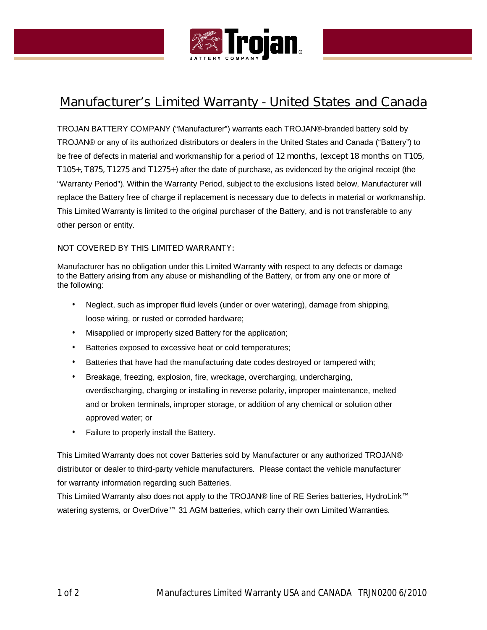

# **Manufacturer's Limited Warranty - United States and Canada**

TROJAN BATTERY COMPANY ("Manufacturer") warrants each TROJAN®-branded battery sold by TROJAN® or any of its authorized distributors or dealers in the United States and Canada ("Battery") to be free of defects in material and workmanship for a period of **12 months, (except 18 months on T105, T105+, T875, T1275 and T1275+)** after the date of purchase, as evidenced by the original receipt (the "Warranty Period"). Within the Warranty Period, subject to the exclusions listed below, Manufacturer will replace the Battery free of charge if replacement is necessary due to defects in material or workmanship. This Limited Warranty is limited to the original purchaser of the Battery, and is not transferable to any other person or entity.

## **NOT COVERED BY THIS LIMITED WARRANTY:**

Manufacturer has no obligation under this Limited Warranty with respect to any defects or damage to the Battery arising from any abuse or mishandling of the Battery, or from any one **or** more of the following:

- Neglect, such as improper fluid levels (under or over watering), damage from shipping, loose wiring, or rusted or corroded hardware;
- Misapplied or improperly sized Battery for the application;
- Batteries exposed to excessive heat or cold temperatures;
- Batteries that have had the manufacturing date codes destroyed or tampered with;
- Breakage, freezing, explosion, fire, wreckage, overcharging, undercharging, overdischarging, charging or installing in reverse polarity, improper maintenance, melted and or broken terminals, improper storage, or addition of any chemical or solution other approved water; or
- Failure to properly install the Battery.

This Limited Warranty does not cover Batteries sold by Manufacturer or any authorized TROJAN® distributor or dealer to third-party vehicle manufacturers. Please contact the vehicle manufacturer for warranty information regarding such Batteries.

This Limited Warranty also does not apply to the TROJAN® line of RE Series batteries, HydroLink**™** watering systems, or OverDrive**™** 31 AGM batteries, which carry their own Limited Warranties.